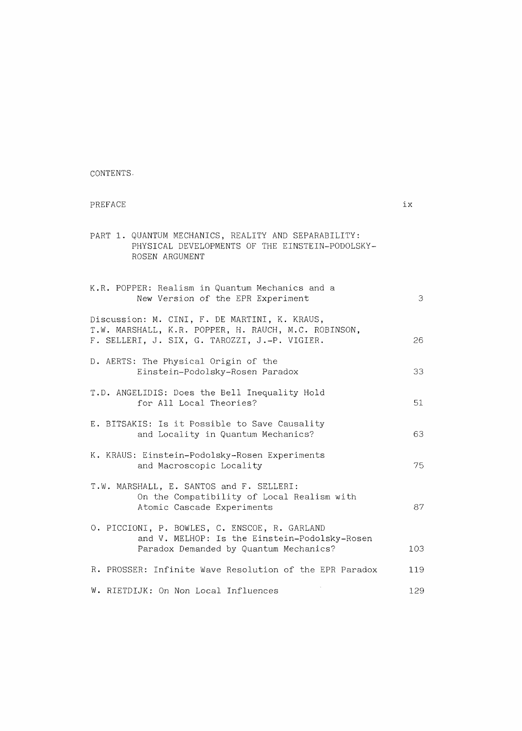CONTENTS.

## PREFACE  $\qquad \qquad$  ix PART 1. QUANTUM MECHANICS, REALITY AND SEPARABILITY: PHYSICAL DEVELOPMENTS OF THE EINSTEIN-PODOLSKY-ROSEN ARGUMENT K.R. POPPER: Realism in Quantum Mechanics and a New Version of the EPR Experiment 3 Discussion: M. CINI, F. DE MARTINI, K. KRAUS, T.W. MARSHALL, K.R. POPPER, H. RAUCH, M.C. ROBINSON, F. SELLERI, J. SIX, G. TAROZZI, J.-P. VIGIER. 26 D. AERTS: The Physical Origin of the Einstein-Podolsky-Rosen Paradox 33 T.D. ANGELIDIS: Does the Bell Inequality Hold for All Local Theories? 51 E. BITSAKIS: Is it Possible to Save Causality and Locality in Quantum Mechanics? 63 K. KRAUS: Einstein-Podolsky-Rosen Experiments and Macroscopic Locality 75 T.W. MARSHALL, E. SANTOS and F. SELLERI: On the Compatibility of Local Realism with Atomic Cascade Experiments 87 0. PICCIONI, P. BOWLES, C. ENSCOE, R. GARLAND and V. MELHOP: Is the Einstein-Podolsky-Rosen Paradox Demanded by Quantum Mechanics? 103 R. PROSSER: Infinite Wave Resolution of the EPR Paradox 119 W. RIETDIJK: On Non Local Influences 129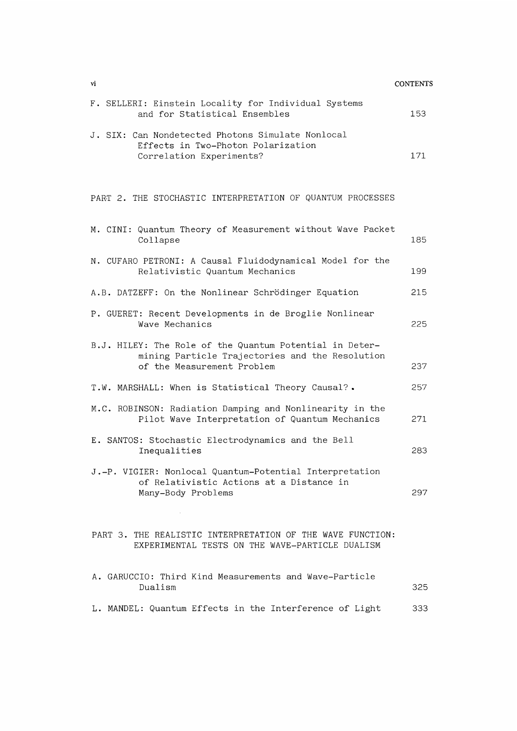| vi                                                                                                                                       | <b>CONTENTS</b> |
|------------------------------------------------------------------------------------------------------------------------------------------|-----------------|
| F. SELLERI: Einstein Locality for Individual Systems<br>and for Statistical Ensembles                                                    | 153             |
| J. SIX: Can Nondetected Photons Simulate Nonlocal<br>Effects in Two-Photon Polarization<br>Correlation Experiments?                      | 171             |
| PART 2. THE STOCHASTIC INTERPRETATION OF QUANTUM PROCESSES                                                                               |                 |
| M. CINI: Quantum Theory of Measurement without Wave Packet<br>Collapse                                                                   | 185             |
| N. CUFARO PETRONI: A Causal Fluidodynamical Model for the<br>Relativistic Quantum Mechanics                                              | 199             |
| A.B. DATZEFF: On the Nonlinear Schrödinger Equation                                                                                      | 215             |
| P. GUERET: Recent Developments in de Broglie Nonlinear<br>Wave Mechanics                                                                 | 225             |
| B.J. HILEY: The Role of the Quantum Potential in Deter-<br>mining Particle Trajectories and the Resolution<br>of the Measurement Problem | 237             |
| T.W. MARSHALL: When is Statistical Theory Causal?.                                                                                       | 257             |
| M.C. ROBINSON: Radiation Damping and Nonlinearity in the<br>Pilot Wave Interpretation of Quantum Mechanics                               | 271             |
| E. SANTOS: Stochastic Electrodynamics and the Bell<br>Inequalities                                                                       | 283             |
| J.-P. VIGIER: Nonlocal Quantum-Potential Interpretation<br>of Relativistic Actions at a Distance in<br>Many-Body Problems                | 297             |
| PART 3. THE REALISTIC INTERPRETATION OF THE WAVE FUNCTION:<br>EXPERIMENTAL TESTS ON THE WAVE-PARTICLE DUALISM                            |                 |
| A. GARUCCIO: Third Kind Measurements and Wave-Particle<br>Dualism                                                                        | 325             |
| L. MANDEL: Quantum Effects in the Interference of Light                                                                                  | 333             |